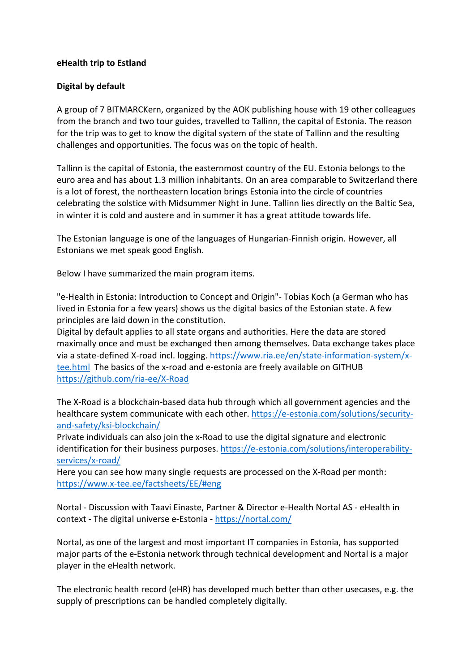### **eHealth trip to Estland**

### **Digital by default**

A group of 7 BITMARCKern, organized by the AOK publishing house with 19 other colleagues from the branch and two tour guides, travelled to Tallinn, the capital of Estonia. The reason for the trip was to get to know the digital system of the state of Tallinn and the resulting challenges and opportunities. The focus was on the topic of health.

Tallinn is the capital of Estonia, the easternmost country of the EU. Estonia belongs to the euro area and has about 1.3 million inhabitants. On an area comparable to Switzerland there is a lot of forest, the northeastern location brings Estonia into the circle of countries celebrating the solstice with Midsummer Night in June. Tallinn lies directly on the Baltic Sea, in winter it is cold and austere and in summer it has a great attitude towards life.

The Estonian language is one of the languages of Hungarian-Finnish origin. However, all Estonians we met speak good English.

Below I have summarized the main program items.

"e-Health in Estonia: Introduction to Concept and Origin"- Tobias Koch (a German who has lived in Estonia for a few years) shows us the digital basics of the Estonian state. A few principles are laid down in the constitution.

Digital by default applies to all state organs and authorities. Here the data are stored maximally once and must be exchanged then among themselves. Data exchange takes place via a state-defined X-road incl. logging. https://www.ria.ee/en/state-information-system/xtee.html The basics of the x-road and e-estonia are freely available on GITHUB https://github.com/ria-ee/X-Road

The X-Road is a blockchain-based data hub through which all government agencies and the healthcare system communicate with each other. https://e-estonia.com/solutions/securityand-safety/ksi-blockchain/

Private individuals can also join the x-Road to use the digital signature and electronic identification for their business purposes. https://e-estonia.com/solutions/interoperabilityservices/x-road/

Here you can see how many single requests are processed on the X-Road per month: https://www.x-tee.ee/factsheets/EE/#eng

Nortal - Discussion with Taavi Einaste, Partner & Director e-Health Nortal AS - eHealth in context - The digital universe e-Estonia - https://nortal.com/

Nortal, as one of the largest and most important IT companies in Estonia, has supported major parts of the e-Estonia network through technical development and Nortal is a major player in the eHealth network.

The electronic health record (eHR) has developed much better than other usecases, e.g. the supply of prescriptions can be handled completely digitally.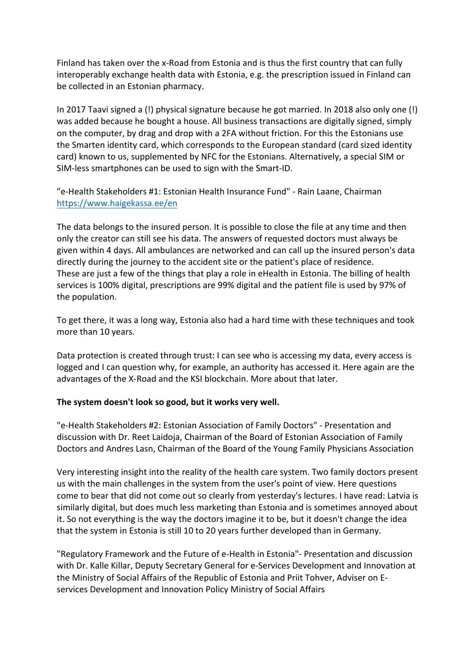Finland has taken over the x-Road from Estonia and is thus the first country that can fully interoperably exchange health data with Estonia, e.g. the prescription issued in Finland can be collected in an Estonian pharmacy.

In 2017 Taavi signed a (!) physical signature because he got married. In 2018 also only one (!) was added because he bought a house. All business transactions are digitally signed, simply on the computer, by drag and drop with a 2FA without friction. For this the Estonians use the Smarten identity card, which corresponds to the European standard (card sized identity card) known to us, supplemented by NFC for the Estonians. Alternatively, a special SIM or SIM-less smartphones can be used to sign with the Smart-ID.

"e-Health Stakeholders #1: Estonian Health Insurance Fund" - Rain Laane, Chairman https://www.haigekassa.ee/en

The data belongs to the insured person. It is possible to close the file at any time and then only the creator can still see his data. The answers of requested doctors must always be given within 4 days. All ambulances are networked and can call up the insured person's data directly during the journey to the accident site or the patient's place of residence. These are just a few of the things that play a role in eHealth in Estonia. The billing of health services is 100% digital, prescriptions are 99% digital and the patient file is used by 97% of the population.

To get there, it was a long way, Estonia also had a hard time with these techniques and took more than 10 years.

Data protection is created through trust: I can see who is accessing my data, every access is logged and I can question why, for example, an authority has accessed it. Here again are the advantages of the X-Road and the KSI blockchain. More about that later.

# **The system doesn't look so good, but it works very well.**

"e-Health Stakeholders #2: Estonian Association of Family Doctors" - Presentation and discussion with Dr. Reet Laidoja, Chairman of the Board of Estonian Association of Family Doctors and Andres Lasn, Chairman of the Board of the Young Family Physicians Association

Very interesting insight into the reality of the health care system. Two family doctors present us with the main challenges in the system from the user's point of view. Here questions come to bear that did not come out so clearly from yesterday's lectures. I have read: Latvia is similarly digital, but does much less marketing than Estonia and is sometimes annoyed about it. So not everything is the way the doctors imagine it to be, but it doesn't change the idea that the system in Estonia is still 10 to 20 years further developed than in Germany.

"Regulatory Framework and the Future of e-Health in Estonia"- Presentation and discussion with Dr. Kalle Killar, Deputy Secretary General for e-Services Development and Innovation at the Ministry of Social Affairs of the Republic of Estonia and Priit Tohver, Adviser on Eservices Development and Innovation Policy Ministry of Social Affairs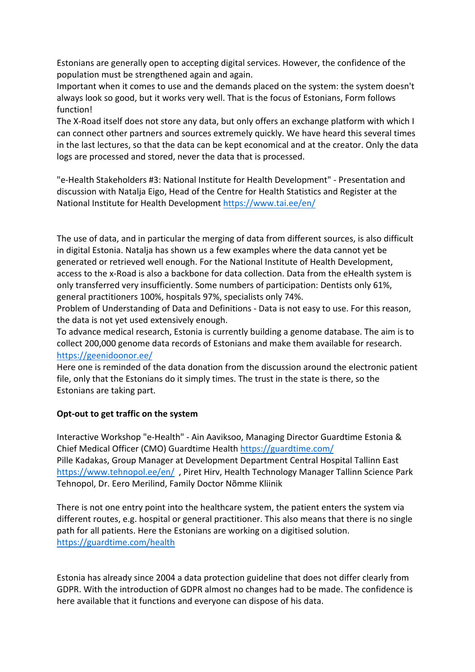Estonians are generally open to accepting digital services. However, the confidence of the population must be strengthened again and again.

Important when it comes to use and the demands placed on the system: the system doesn't always look so good, but it works very well. That is the focus of Estonians, Form follows function!

The X-Road itself does not store any data, but only offers an exchange platform with which I can connect other partners and sources extremely quickly. We have heard this several times in the last lectures, so that the data can be kept economical and at the creator. Only the data logs are processed and stored, never the data that is processed.

"e-Health Stakeholders #3: National Institute for Health Development" - Presentation and discussion with Natalja Eigo, Head of the Centre for Health Statistics and Register at the National Institute for Health Development https://www.tai.ee/en/

The use of data, and in particular the merging of data from different sources, is also difficult in digital Estonia. Natalja has shown us a few examples where the data cannot yet be generated or retrieved well enough. For the National Institute of Health Development, access to the x-Road is also a backbone for data collection. Data from the eHealth system is only transferred very insufficiently. Some numbers of participation: Dentists only 61%, general practitioners 100%, hospitals 97%, specialists only 74%.

Problem of Understanding of Data and Definitions - Data is not easy to use. For this reason, the data is not yet used extensively enough.

To advance medical research, Estonia is currently building a genome database. The aim is to collect 200,000 genome data records of Estonians and make them available for research. https://geenidoonor.ee/

Here one is reminded of the data donation from the discussion around the electronic patient file, only that the Estonians do it simply times. The trust in the state is there, so the Estonians are taking part.

# **Opt-out to get traffic on the system**

Interactive Workshop "e-Health" - Ain Aaviksoo, Managing Director Guardtime Estonia & Chief Medical Officer (CMO) Guardtime Health https://guardtime.com/ Pille Kadakas, Group Manager at Development Department Central Hospital Tallinn East

https://www.tehnopol.ee/en/ , Piret Hirv, Health Technology Manager Tallinn Science Park Tehnopol, Dr. Eero Merilind, Family Doctor Nõmme Kliinik

There is not one entry point into the healthcare system, the patient enters the system via different routes, e.g. hospital or general practitioner. This also means that there is no single path for all patients. Here the Estonians are working on a digitised solution. https://guardtime.com/health

Estonia has already since 2004 a data protection guideline that does not differ clearly from GDPR. With the introduction of GDPR almost no changes had to be made. The confidence is here available that it functions and everyone can dispose of his data.